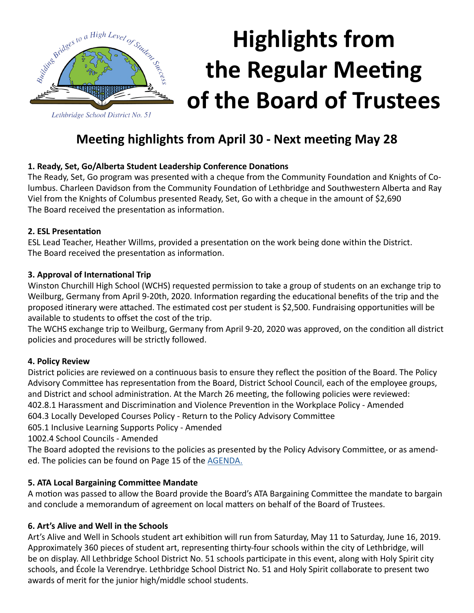

# **Highlights from the Regular Meeting of the Board of Trustees**

### **Meeting highlights from April 30 - Next meeting May 28**

#### **1. Ready, Set, Go/Alberta Student Leadership Conference Donations**

The Ready, Set, Go program was presented with a cheque from the Community Foundation and Knights of Columbus. Charleen Davidson from the Community Foundation of Lethbridge and Southwestern Alberta and Ray Viel from the Knights of Columbus presented Ready, Set, Go with a cheque in the amount of \$2,690 The Board received the presentation as information.

#### **2. ESL Presentation**

ESL Lead Teacher, Heather Willms, provided a presentation on the work being done within the District. The Board received the presentation as information.

#### **3. Approval of International Trip**

Winston Churchill High School (WCHS) requested permission to take a group of students on an exchange trip to Weilburg, Germany from April 9-20th, 2020. Information regarding the educational benefits of the trip and the proposed itinerary were attached. The estimated cost per student is \$2,500. Fundraising opportunities will be available to students to offset the cost of the trip.

The WCHS exchange trip to Weilburg, Germany from April 9-20, 2020 was approved, on the condition all district policies and procedures will be strictly followed.

#### **4. Policy Review**

District policies are reviewed on a continuous basis to ensure they reflect the position of the Board. The Policy Advisory Committee has representation from the Board, District School Council, each of the employee groups, and District and school administration. At the March 26 meeting, the following policies were reviewed: 402.8.1 Harassment and Discrimination and Violence Prevention in the Workplace Policy - Amended

604.3 Locally Developed Courses Policy - Return to the Policy Advisory Committee

605.1 Inclusive Learning Supports Policy - Amended

1002.4 School Councils - Amended

The Board adopted the revisions to the policies as presented by the Policy Advisory Committee, or as amended. The policies can be found on Page 15 of the [AGENDA.](http://www.lethsd.ab.ca/documents/general/2019-04-30%20Board%20Meeting%20Agenda.pdf)

#### **5. ATA Local Bargaining Committee Mandate**

A motion was passed to allow the Board provide the Board's ATA Bargaining Committee the mandate to bargain and conclude a memorandum of agreement on local matters on behalf of the Board of Trustees.

#### **6. Art's Alive and Well in the Schools**

Art's Alive and Well in Schools student art exhibition will run from Saturday, May 11 to Saturday, June 16, 2019. Approximately 360 pieces of student art, representing thirty-four schools within the city of Lethbridge, will be on display. All Lethbridge School District No. 51 schools participate in this event, along with Holy Spirit city schools, and École la Verendrye. Lethbridge School District No. 51 and Holy Spirit collaborate to present two awards of merit for the junior high/middle school students.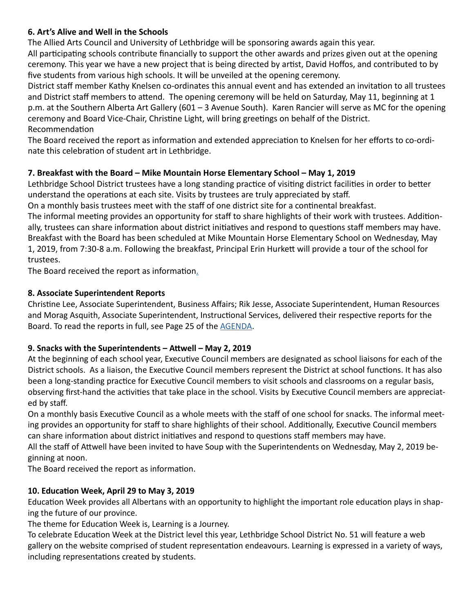#### **6. Art's Alive and Well in the Schools**

The Allied Arts Council and University of Lethbridge will be sponsoring awards again this year. All participating schools contribute financially to support the other awards and prizes given out at the opening ceremony. This year we have a new project that is being directed by artist, David Hoffos, and contributed to by five students from various high schools. It will be unveiled at the opening ceremony.

District staff member Kathy Knelsen co-ordinates this annual event and has extended an invitation to all trustees and District staff members to attend. The opening ceremony will be held on Saturday, May 11, beginning at 1 p.m. at the Southern Alberta Art Gallery (601 – 3 Avenue South). Karen Rancier will serve as MC for the opening ceremony and Board Vice-Chair, Christine Light, will bring greetings on behalf of the District. Recommendation

The Board received the report as information and extended appreciation to Knelsen for her efforts to co-ordinate this celebration of student art in Lethbridge.

#### **7. Breakfast with the Board – Mike Mountain Horse Elementary School – May 1, 2019**

Lethbridge School District trustees have a long standing practice of visiting district facilities in order to better understand the operations at each site. Visits by trustees are truly appreciated by staff.

On a monthly basis trustees meet with the staff of one district site for a continental breakfast.

The informal meeting provides an opportunity for staff to share highlights of their work with trustees. Additionally, trustees can share information about district initiatives and respond to questions staff members may have. Breakfast with the Board has been scheduled at Mike Mountain Horse Elementary School on Wednesday, May 1, 2019, from 7:30-8 a.m. Following the breakfast, Principal Erin Hurkett will provide a tour of the school for trustees.

The Board received the report as information[.](http://www.lethsd.ab.ca/documents/general/2019-02-26%20Board%20Meeting%20Agenda.pdf)

#### **8. Associate Superintendent Reports**

Christine Lee, Associate Superintendent, Business Affairs; Rik Jesse, Associate Superintendent, Human Resources and Morag Asquith, Associate Superintendent, Instructional Services, delivered their respective reports for the Board. To read the reports in full, see Page 25 of the [AGENDA](http://www.lethsd.ab.ca/documents/general/2019-04-30%20Board%20Meeting%20Agenda.pdf).

#### **9. Snacks with the Superintendents – Attwell – May 2, 2019**

At the beginning of each school year, Executive Council members are designated as school liaisons for each of the District schools. As a liaison, the Executive Council members represent the District at school functions. It has also been a long-standing practice for Executive Council members to visit schools and classrooms on a regular basis, observing first-hand the activities that take place in the school. Visits by Executive Council members are appreciated by staff.

On a monthly basis Executive Council as a whole meets with the staff of one school for snacks. The informal meeting provides an opportunity for staff to share highlights of their school. Additionally, Executive Council members can share information about district initiatives and respond to questions staff members may have.

All the staff of Attwell have been invited to have Soup with the Superintendents on Wednesday, May 2, 2019 beginning at noon.

The Board received the report as information.

#### **10. Education Week, April 29 to May 3, 2019**

Education Week provides all Albertans with an opportunity to highlight the important role education plays in shaping the future of our province.

The theme for Education Week is, Learning is a Journey.

To celebrate Education Week at the District level this year, Lethbridge School District No. 51 will feature a web gallery on the website comprised of student representation endeavours. Learning is expressed in a variety of ways, including representations created by students.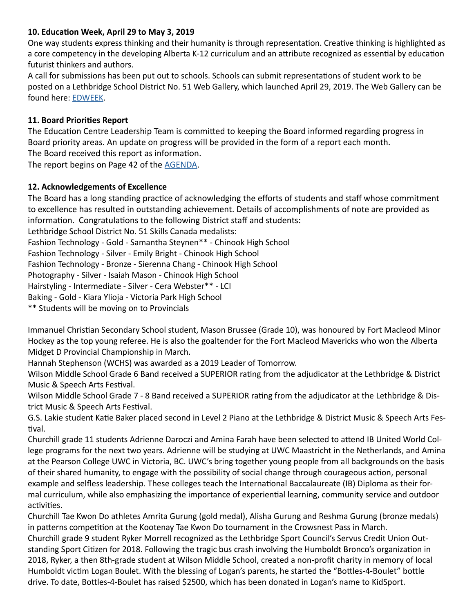#### **10. Education Week, April 29 to May 3, 2019**

One way students express thinking and their humanity is through representation. Creative thinking is highlighted as a core competency in the developing Alberta K-12 curriculum and an attribute recognized as essential by education futurist thinkers and authors.

A call for submissions has been put out to schools. Schools can submit representations of student work to be posted on a Lethbridge School District No. 51 Web Gallery, which launched April 29, 2019. The Web Gallery can be found here: [EDWEEK](http://www.lethsd.ab.ca/view.php?action=object&id=87545&stream=Homepage%20News).

#### **11. Board Priorities Report**

The Education Centre Leadership Team is committed to keeping the Board informed regarding progress in Board priority areas. An update on progress will be provided in the form of a report each month. The Board received this report as information.

The report begins on Page 42 of the [AGENDA](http://www.lethsd.ab.ca/documents/general/2019-04-30%20Board%20Meeting%20Agenda.pdf).

#### **12. Acknowledgements of Excellence**

The Board has a long standing practice of acknowledging the efforts of students and staff whose commitment to excellence has resulted in outstanding achievement. Details of accomplishments of note are provided as information. Congratulations to the following District staff and students:

Lethbridge School District No. 51 Skills Canada medalists:

Fashion Technology - Gold - Samantha Steynen\*\* - Chinook High School

Fashion Technology - Silver - Emily Bright - Chinook High School

Fashion Technology - Bronze - Sierenna Chang - Chinook High School

Photography - Silver - Isaiah Mason - Chinook High School

Hairstyling - Intermediate - Silver - Cera Webster\*\* - LCI

Baking - Gold - Kiara Ylioja - Victoria Park High School

\*\* Students will be moving on to Provincials

Immanuel Christian Secondary School student, Mason Brussee (Grade 10), was honoured by Fort Macleod Minor Hockey as the top young referee. He is also the goaltender for the Fort Macleod Mavericks who won the Alberta Midget D Provincial Championship in March.

Hannah Stephenson (WCHS) was awarded as a 2019 Leader of Tomorrow.

Wilson Middle School Grade 6 Band received a SUPERIOR rating from the adjudicator at the Lethbridge & District Music & Speech Arts Festival.

Wilson Middle School Grade 7 - 8 Band received a SUPERIOR rating from the adjudicator at the Lethbridge & District Music & Speech Arts Festival.

G.S. Lakie student Katie Baker placed second in Level 2 Piano at the Lethbridge & District Music & Speech Arts Festival.

Churchill grade 11 students Adrienne Daroczi and Amina Farah have been selected to attend IB United World College programs for the next two years. Adrienne will be studying at UWC Maastricht in the Netherlands, and Amina at the Pearson College UWC in Victoria, BC. UWC's bring together young people from all backgrounds on the basis of their shared humanity, to engage with the possibility of social change through courageous action, personal example and selfless leadership. These colleges teach the International Baccalaureate (IB) Diploma as their formal curriculum, while also emphasizing the importance of experiential learning, community service and outdoor activities.

Churchill Tae Kwon Do athletes Amrita Gurung (gold medal), Alisha Gurung and Reshma Gurung (bronze medals) in patterns competition at the Kootenay Tae Kwon Do tournament in the Crowsnest Pass in March. Churchill grade 9 student Ryker Morrell recognized as the Lethbridge Sport Council's Servus Credit Union Outstanding Sport Citizen for 2018. Following the tragic bus crash involving the Humboldt Bronco's organization in 2018, Ryker, a then 8th-grade student at Wilson Middle School, created a non-profit charity in memory of local Humboldt victim Logan Boulet. With the blessing of Logan's parents, he started the "Bottles-4-Boulet" bottle drive. To date, Bottles-4-Boulet has raised \$2500, which has been donated in Logan's name to KidSport.